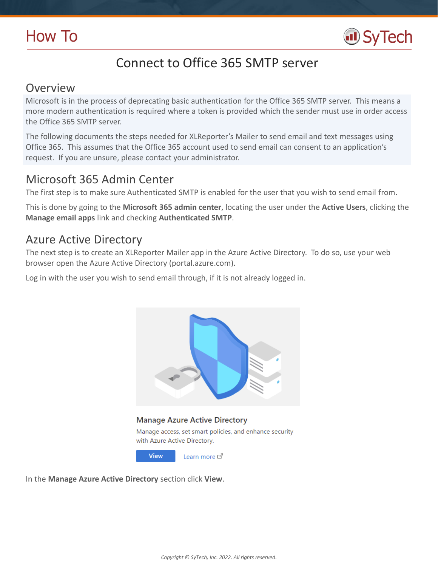

# Connect to Office 365 SMTP server

## Overview

Microsoft is in the process of deprecating basic authentication for the Office 365 SMTP server. This means a more modern authentication is required where a token is provided which the sender must use in order access the Office 365 SMTP server.

The following documents the steps needed for XLReporter's Mailer to send email and text messages using Office 365. This assumes that the Office 365 account used to send email can consent to an application's request. If you are unsure, please contact your administrator.

## Microsoft 365 Admin Center

The first step is to make sure Authenticated SMTP is enabled for the user that you wish to send email from.

This is done by going to the **Microsoft 365 admin center**, locating the user under the **Active Users**, clicking the **Manage email apps** link and checking **Authenticated SMTP**.

## Azure Active Directory

The next step is to create an XLReporter Mailer app in the Azure Active Directory. To do so, use your web browser open the Azure Active Directory (portal.azure.com).

Log in with the user you wish to send email through, if it is not already logged in.



In the **Manage Azure Active Directory** section click **View**.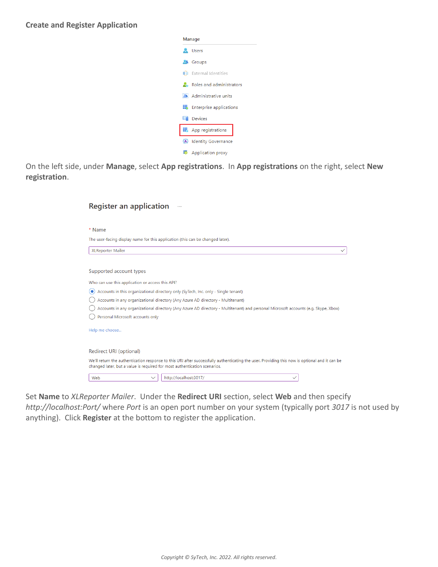| Manage                             |  |  |  |  |  |  |
|------------------------------------|--|--|--|--|--|--|
| <b>A</b> Users                     |  |  |  |  |  |  |
| <b>A</b> Groups                    |  |  |  |  |  |  |
| <b>■■</b> External Identities      |  |  |  |  |  |  |
| <b>A.</b> Roles and administrators |  |  |  |  |  |  |
| Administrative units               |  |  |  |  |  |  |
| <b>Enterprise applications</b>     |  |  |  |  |  |  |
| $\Box$ Devices                     |  |  |  |  |  |  |
| App registrations                  |  |  |  |  |  |  |
| Identity Governance                |  |  |  |  |  |  |
| ■ Application proxy                |  |  |  |  |  |  |

On the left side, under **Manage**, select **App registrations**. In **App registrations** on the right, select **New registration**.

| <b>Register an application</b>                                                                                                                                                                                             |  |  |  |  |
|----------------------------------------------------------------------------------------------------------------------------------------------------------------------------------------------------------------------------|--|--|--|--|
|                                                                                                                                                                                                                            |  |  |  |  |
| * Name                                                                                                                                                                                                                     |  |  |  |  |
| The user-facing display name for this application (this can be changed later).                                                                                                                                             |  |  |  |  |
| <b>XLReporter Mailer</b><br>$\checkmark$                                                                                                                                                                                   |  |  |  |  |
|                                                                                                                                                                                                                            |  |  |  |  |
| Supported account types                                                                                                                                                                                                    |  |  |  |  |
| Who can use this application or access this API?                                                                                                                                                                           |  |  |  |  |
| Accounts in this organizational directory only (SyTech, Inc. only - Single tenant)<br>0                                                                                                                                    |  |  |  |  |
| Accounts in any organizational directory (Any Azure AD directory - Multitenant)                                                                                                                                            |  |  |  |  |
| Accounts in any organizational directory (Any Azure AD directory - Multitenant) and personal Microsoft accounts (e.g. Skype, Xbox)                                                                                         |  |  |  |  |
| Personal Microsoft accounts only                                                                                                                                                                                           |  |  |  |  |
| Help me choose                                                                                                                                                                                                             |  |  |  |  |
|                                                                                                                                                                                                                            |  |  |  |  |
| Redirect URI (optional)                                                                                                                                                                                                    |  |  |  |  |
| We'll return the authentication response to this URI after successfully authenticating the user. Providing this now is optional and it can be<br>changed later, but a value is required for most authentication scenarios. |  |  |  |  |
| http://localhost:3017/<br>Web                                                                                                                                                                                              |  |  |  |  |

Set **Name** to *XLReporter Mailer*. Under the **Redirect URI** section, select **Web** and then specify *http://localhost:Port/* where *Port* is an open port number on your system (typically port *3017* is not used by anything). Click **Register** at the bottom to register the application.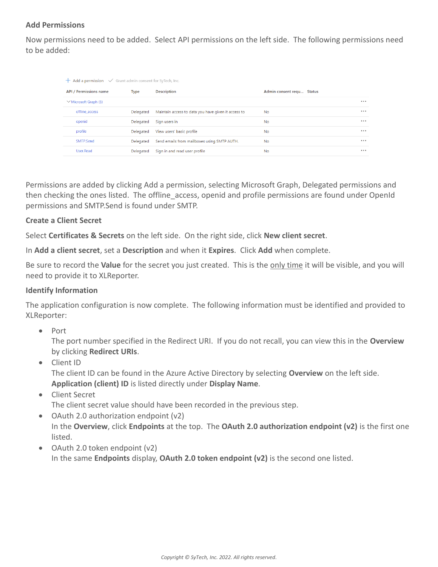### **Add Permissions**

Now permissions need to be added. Select API permissions on the left side. The following permissions need to be added:

| $+$ Add a permission $\checkmark$ Grant admin consent for SyTech, Inc. |                               |           |                                                     |                           |       |
|------------------------------------------------------------------------|-------------------------------|-----------|-----------------------------------------------------|---------------------------|-------|
|                                                                        | <b>API / Permissions name</b> | Type      | <b>Description</b>                                  | Admin consent requ Status |       |
|                                                                        | $\vee$ Microsoft Graph (5)    |           |                                                     |                           | 0.0.0 |
|                                                                        | offline access                | Delegated | Maintain access to data you have given it access to | <b>No</b>                 |       |
|                                                                        | openid                        | Delegated | Sign users in                                       | No.                       |       |
|                                                                        | profile                       | Delegated | View users' basic profile                           | <b>No</b>                 | 0.0.0 |
|                                                                        | SMTP.Send                     | Delegated | Send emails from mailboxes using SMTP AUTH.         | <b>No</b>                 |       |
|                                                                        | User.Read                     | Delegated | Sign in and read user profile                       | <b>No</b>                 |       |

Permissions are added by clicking Add a permission, selecting Microsoft Graph, Delegated permissions and then checking the ones listed. The offline access, openid and profile permissions are found under OpenId permissions and SMTP.Send is found under SMTP.

### **Create a Client Secret**

Select **Certificates & Secrets** on the left side. On the right side, click **New client secret**.

In **Add a client secret**, set a **Description** and when it **Expires**. Click **Add** when complete.

Be sure to record the **Value** for the secret you just created. This is the only time it will be visible, and you will need to provide it to XLReporter.

### **Identify Information**

The application configuration is now complete. The following information must be identified and provided to XLReporter:

• Port

The port number specified in the Redirect URI. If you do not recall, you can view this in the **Overview** by clicking **Redirect URIs**.

- Client ID The client ID can be found in the Azure Active Directory by selecting **Overview** on the left side. **Application (client) ID** is listed directly under **Display Name**.
- Client Secret

The client secret value should have been recorded in the previous step.

- OAuth 2.0 authorization endpoint (v2) In the **Overview**, click **Endpoints** at the top. The **OAuth 2.0 authorization endpoint (v2)** is the first one listed.
- OAuth 2.0 token endpoint (v2) In the same **Endpoints** display, **OAuth 2.0 token endpoint (v2)** is the second one listed.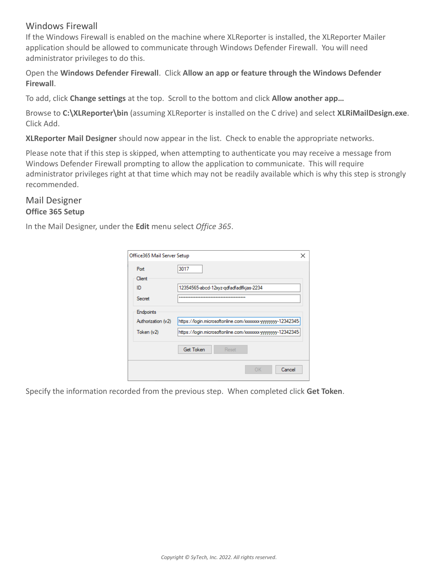## Windows Firewall

If the Windows Firewall is enabled on the machine where XLReporter is installed, the XLReporter Mailer application should be allowed to communicate through Windows Defender Firewall. You will need administrator privileges to do this.

Open the **Windows Defender Firewall**. Click **Allow an app or feature through the Windows Defender Firewall**.

To add, click **Change settings** at the top. Scroll to the bottom and click **Allow another app…**

Browse to **C:\XLReporter\bin** (assuming XLReporter is installed on the C drive) and select **XLRiMailDesign.exe**. Click Add.

**XLReporter Mail Designer** should now appear in the list. Check to enable the appropriate networks.

Please note that if this step is skipped, when attempting to authenticate you may receive a message from Windows Defender Firewall prompting to allow the application to communicate. This will require administrator privileges right at that time which may not be readily available which is why this step is strongly recommended.

## Mail Designer **Office 365 Setup**

In the Mail Designer, under the **Edit** menu select *Office 365*.

| Office365 Mail Server Setup                   |                                                                                                                              | × |
|-----------------------------------------------|------------------------------------------------------------------------------------------------------------------------------|---|
| Port<br>Client<br>ID<br>Secret                | 3017<br>12354565-abcd-12xyz-gdfadfadlfkjas-2234<br>                                                                          |   |
| Endpoints<br>Authorization (v2)<br>Token (v2) | https://login.microsoftonline.com/xxxxxxx-yyyyyyyy-12342345-<br>https://login.microsoftonline.com/xxxxxxx-yyyyyyyy-12342345- |   |
|                                               | <b>Get Token</b><br>Reset                                                                                                    |   |
|                                               | OK<br>Cancel                                                                                                                 |   |

Specify the information recorded from the previous step. When completed click **Get Token**.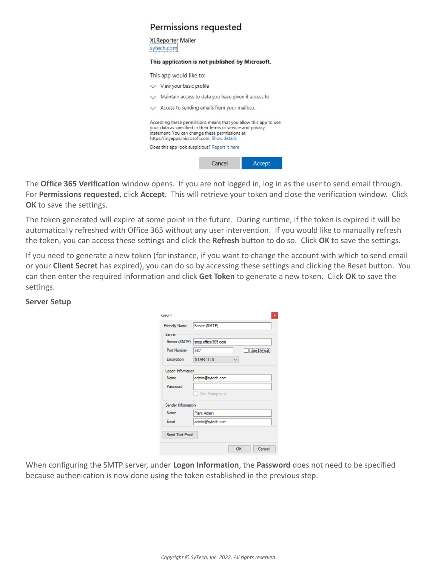#### **Permissions requested**

**XLReporter Mailer** sytech.com

#### This application is not published by Microsoft.

This app would like to:

| $\vee$ View your basic profile                                                                                                                                                                                                   |
|----------------------------------------------------------------------------------------------------------------------------------------------------------------------------------------------------------------------------------|
| Maintain access to data you have given it access to                                                                                                                                                                              |
| Access to sending emails from your mailbox.                                                                                                                                                                                      |
| Accepting these permissions means that you allow this app to use<br>your data as specified in their terms of service and privacy<br>statement. You can change these permissions at<br>https://myapps.microsoft.com. Show details |
|                                                                                                                                                                                                                                  |
| Does this app look suspicious? Report it here                                                                                                                                                                                    |

The **Office 365 Verification** window opens. If you are not logged in, log in as the user to send email through. For **Permissions requested**, click **Accept**. This will retrieve your token and close the verification window. Click **OK** to save the settings.

The token generated will expire at some point in the future. During runtime, if the token is expired it will be automatically refreshed with Office 365 without any user intervention. If you would like to manually refresh the token, you can access these settings and click the **Refresh** button to do so. Click **OK** to save the settings.

If you need to generate a new token (for instance, if you want to change the account with which to send email or your **Client Secret** has expired), you can do so by accessing these settings and clicking the Reset button. You can then enter the required information and click **Get Token** to generate a new token. Click **OK** to save the settings.

#### **Server Setup**

| Server               | ×                  |  |  |  |  |
|----------------------|--------------------|--|--|--|--|
| <b>Friendly Name</b> | Server (SMTP)      |  |  |  |  |
| Server               |                    |  |  |  |  |
| Server (SMTP)        | smtp.office365.com |  |  |  |  |
| Port Number          | Use Default<br>587 |  |  |  |  |
| Encryption           | <b>STARTTLS</b>    |  |  |  |  |
| Logon Information    |                    |  |  |  |  |
| Name                 | admin@sytech.com   |  |  |  |  |
| Password             |                    |  |  |  |  |
|                      | Use Anonymous      |  |  |  |  |
| Sender Information   |                    |  |  |  |  |
| Name                 | Plant Admin        |  |  |  |  |
| Email                | admin@sytech.com   |  |  |  |  |
| Send Test Email      |                    |  |  |  |  |
|                      | OK<br>Cancel       |  |  |  |  |

When configuring the SMTP server, under **Logon Information**, the **Password** does not need to be specified because authenication is now done using the token established in the previous step.